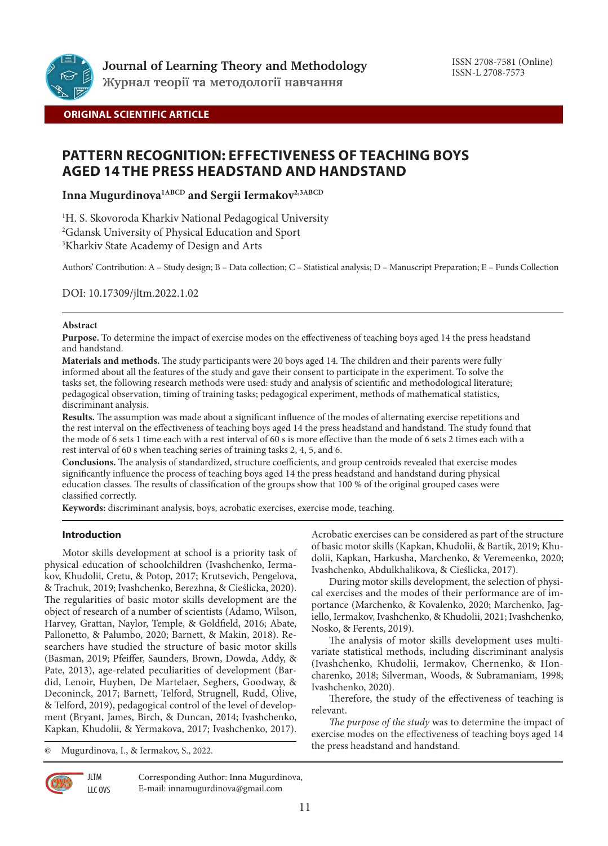

## **ORIGINAL SCIENTIFIC ARTICLE**

# **PATTERN RECOGNITION: EFFECTIVENESS OF TEACHING BOYS AGED 14 THE PRESS HEADSTAND AND HANDSTAND**

**Inna Mugurdinova1ABCD and Sergii Iermakov2,3ABCD**

1 H. S. Skovoroda Kharkiv National Pedagogical University 2 Gdansk University of Physical Education and Sport 3 Kharkiv State Academy of Design and Arts

Authors' Contribution: A – Study design; B – Data collection; C – Statistical analysis; D – Manuscript Preparation; E – Funds Collection

DOI: 10.17309/jltm.2022.1.02

### **Abstract**

**Purpose.** To determine the impact of exercise modes on the effectiveness of teaching boys aged 14 the press headstand and handstand.

**Materials and methods.** The study participants were 20 boys aged 14. The children and their parents were fully informed about all the features of the study and gave their consent to participate in the experiment. To solve the tasks set, the following research methods were used: study and analysis of scientific and methodological literature; pedagogical observation, timing of training tasks; pedagogical experiment, methods of mathematical statistics, discriminant analysis.

**Results.** The assumption was made about a significant influence of the modes of alternating exercise repetitions and the rest interval on the effectiveness of teaching boys aged 14 the press headstand and handstand. The study found that the mode of 6 sets 1 time each with a rest interval of 60 s is more effective than the mode of 6 sets 2 times each with a rest interval of 60 s when teaching series of training tasks 2, 4, 5, and 6.

**Conclusions.** The analysis of standardized, structure coefficients, and group centroids revealed that exercise modes significantly influence the process of teaching boys aged 14 the press headstand and handstand during physical education classes. The results of classification of the groups show that 100 % of the original grouped cases were classified correctly.

**Keywords:** discriminant analysis, boys, acrobatic exercises, exercise mode, teaching.

### **Introduction**

Motor skills development at school is a priority task of physical education of schoolchildren (Ivashchenko, Iermakov, Khudolii, Cretu, & Potop, 2017; Krutsevich, Pengelova, & Trachuk, 2019; Ivashchenko, Berezhna, & Cieślicka, 2020). The regularities of basic motor skills development are the object of research of a number of scientists (Adamo, Wilson, Harvey, Grattan, Naylor, Temple, & Goldfield, 2016; Abate, Pallonetto, & Palumbo, 2020; Barnett, & Makin, 2018). Researchers have studied the structure of basic motor skills (Basman, 2019; Pfeiffer, Saunders, Brown, Dowda, Addy, & Pate, 2013), age-related peculiarities of development (Bardid, Lenoir, Huyben, De Martelaer, Seghers, Goodway, & Deconinck, 2017; Barnett, Telford, Strugnell, Rudd, Olive, & Telford, 2019), pedagogical control of the level of development (Bryant, James, Birch, & Duncan, 2014; Ivashchenko, Kapkan, Khudolii, & Yermakova, 2017; Ivashchenko, 2017).

© Mugurdinova, I., & Iermakov, S., 2022.

Acrobatic exercises can be considered as part of the structure of basic motor skills (Kapkan, Khudolii, & Bartik, 2019; Khudolii, Kapkan, Harkusha, Marchenko, & Veremeenko, 2020; Ivashchenko, Abdulkhalikova, & Cieślicka, 2017).

During motor skills development, the selection of physical exercises and the modes of their performance are of importance (Marchenko, & Kovalenko, 2020; Marchenko, Jagiello, Iermakov, Ivashchenko, & Khudolii, 2021; Ivashchenko, Nosko, & Ferents, 2019).

The analysis of motor skills development uses multivariate statistical methods, including discriminant analysis (Ivashchenko, Khudolii, Iermakov, Chernenko, & Honcharenko, 2018; Silverman, Woods, & Subramaniam, 1998; Ivashchenko, 2020).

Therefore, the study of the effectiveness of teaching is relevant.

*The purpose of the study* was to determine the impact of exercise modes on the effectiveness of teaching boys aged 14 the press headstand and handstand.



**JLTM** LLC OVS Corresponding Author: Inna Mugurdinova, E-mail: innamugurdinova@gmail.com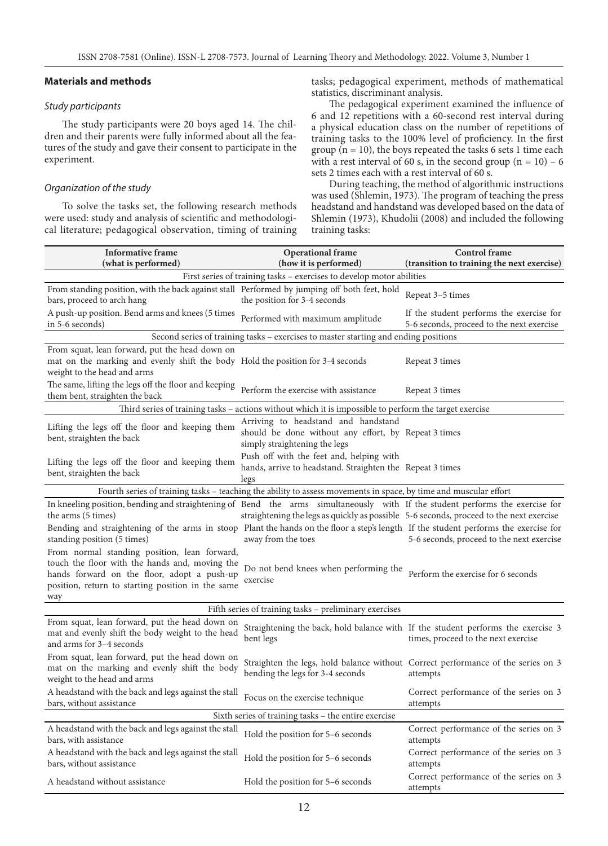## **Materials and methods**

## *Study participants*

The study participants were 20 boys aged 14. The children and their parents were fully informed about all the features of the study and gave their consent to participate in the experiment.

## *Organization of the study*

To solve the tasks set, the following research methods were used: study and analysis of scientific and methodological literature; pedagogical observation, timing of training tasks; pedagogical experiment, methods of mathematical statistics, discriminant analysis.

The pedagogical experiment examined the influence of 6 and 12 repetitions with a 60-second rest interval during a physical education class on the number of repetitions of training tasks to the 100% level of proficiency. In the first group ( $n = 10$ ), the boys repeated the tasks 6 sets 1 time each with a rest interval of 60 s, in the second group  $(n = 10) - 6$ sets 2 times each with a rest interval of 60 s.

During teaching, the method of algorithmic instructions was used (Shlemin, 1973). The program of teaching the press headstand and handstand was developed based on the data of Shlemin (1973), Khudolii (2008) and included the following training tasks:

| <b>Informative frame</b><br>(what is performed)                                                                                                                                                                                                                                             | <b>Operational</b> frame<br>(how it is performed)                                                                            | <b>Control</b> frame<br>(transition to training the next exercise)                    |  |  |  |
|---------------------------------------------------------------------------------------------------------------------------------------------------------------------------------------------------------------------------------------------------------------------------------------------|------------------------------------------------------------------------------------------------------------------------------|---------------------------------------------------------------------------------------|--|--|--|
|                                                                                                                                                                                                                                                                                             | First series of training tasks - exercises to develop motor abilities                                                        |                                                                                       |  |  |  |
| From standing position, with the back against stall Performed by jumping off both feet, hold<br>bars, proceed to arch hang                                                                                                                                                                  | the position for 3-4 seconds                                                                                                 | Repeat 3–5 times                                                                      |  |  |  |
| A push-up position. Bend arms and knees (5 times<br>in 5-6 seconds)                                                                                                                                                                                                                         | Performed with maximum amplitude                                                                                             | If the student performs the exercise for<br>5-6 seconds, proceed to the next exercise |  |  |  |
|                                                                                                                                                                                                                                                                                             | Second series of training tasks - exercises to master starting and ending positions                                          |                                                                                       |  |  |  |
| From squat, lean forward, put the head down on<br>mat on the marking and evenly shift the body Hold the position for 3-4 seconds<br>weight to the head and arms                                                                                                                             |                                                                                                                              | Repeat 3 times                                                                        |  |  |  |
| The same, lifting the legs off the floor and keeping<br>them bent, straighten the back                                                                                                                                                                                                      | Perform the exercise with assistance                                                                                         | Repeat 3 times                                                                        |  |  |  |
|                                                                                                                                                                                                                                                                                             | Third series of training tasks – actions without which it is impossible to perform the target exercise                       |                                                                                       |  |  |  |
| Lifting the legs off the floor and keeping them<br>bent, straighten the back                                                                                                                                                                                                                | Arriving to headstand and handstand<br>should be done without any effort, by Repeat 3 times<br>simply straightening the legs |                                                                                       |  |  |  |
| Lifting the legs off the floor and keeping them<br>bent, straighten the back                                                                                                                                                                                                                | Push off with the feet and, helping with<br>hands, arrive to headstand. Straighten the Repeat 3 times<br>legs                |                                                                                       |  |  |  |
|                                                                                                                                                                                                                                                                                             | Fourth series of training tasks - teaching the ability to assess movements in space, by time and muscular effort             |                                                                                       |  |  |  |
| In kneeling position, bending and straightening of Bend the arms simultaneously with If the student performs the exercise for<br>the arms (5 times)<br>Bending and straightening of the arms in stoop Plant the hands on the floor a step's length If the student performs the exercise for | straightening the legs as quickly as possible 5-6 seconds, proceed to the next exercise                                      |                                                                                       |  |  |  |
| standing position (5 times)                                                                                                                                                                                                                                                                 | away from the toes                                                                                                           | 5-6 seconds, proceed to the next exercise                                             |  |  |  |
| From normal standing position, lean forward,<br>touch the floor with the hands and, moving the<br>hands forward on the floor, adopt a push-up<br>position, return to starting position in the same<br>way                                                                                   | Do not bend knees when performing the<br>exercise                                                                            | Perform the exercise for 6 seconds                                                    |  |  |  |
|                                                                                                                                                                                                                                                                                             | Fifth series of training tasks - preliminary exercises                                                                       |                                                                                       |  |  |  |
| From squat, lean forward, put the head down on<br>mat and evenly shift the body weight to the head<br>and arms for 3-4 seconds                                                                                                                                                              | Straightening the back, hold balance with If the student performs the exercise 3<br>bent legs                                | times, proceed to the next exercise                                                   |  |  |  |
| From squat, lean forward, put the head down on<br>mat on the marking and evenly shift the body<br>weight to the head and arms                                                                                                                                                               | Straighten the legs, hold balance without Correct performance of the series on 3<br>bending the legs for 3-4 seconds         | attempts                                                                              |  |  |  |
| A headstand with the back and legs against the stall<br>bars, without assistance                                                                                                                                                                                                            | Focus on the exercise technique                                                                                              | Correct performance of the series on 3<br>attempts                                    |  |  |  |
| Sixth series of training tasks – the entire exercise                                                                                                                                                                                                                                        |                                                                                                                              |                                                                                       |  |  |  |
| A headstand with the back and legs against the stall<br>bars, with assistance                                                                                                                                                                                                               | Hold the position for 5–6 seconds                                                                                            | Correct performance of the series on 3<br>attempts                                    |  |  |  |
| A headstand with the back and legs against the stall<br>bars, without assistance                                                                                                                                                                                                            | Hold the position for 5-6 seconds                                                                                            | Correct performance of the series on 3<br>attempts                                    |  |  |  |
| A headstand without assistance                                                                                                                                                                                                                                                              | Hold the position for 5–6 seconds                                                                                            | Correct performance of the series on 3<br>attempts                                    |  |  |  |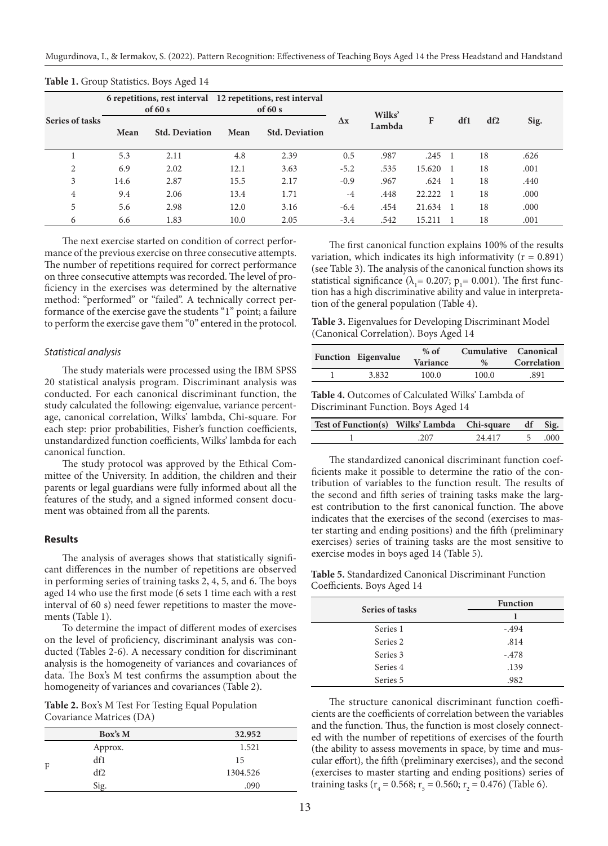Mugurdinova, I., & Iermakov, S. (2022). Pattern Recognition: Effectiveness of Teaching Boys Aged 14 the Press Headstand and Handstand

| Series of tasks | of $60 s$ |                       | 6 repetitions, rest interval 12 repetitions, rest interval<br>of $60 s$ |                       |            | Wilks' |            |                |     |      |
|-----------------|-----------|-----------------------|-------------------------------------------------------------------------|-----------------------|------------|--------|------------|----------------|-----|------|
|                 | Mean      | <b>Std. Deviation</b> | Mean                                                                    | <b>Std. Deviation</b> | $\Delta x$ | Lambda | F          | df1            | df2 | Sig. |
|                 | 5.3       | 2.11                  | 4.8                                                                     | 2.39                  | 0.5        | .987   | $.245 - 1$ |                | 18  | .626 |
| 2               | 6.9       | 2.02                  | 12.1                                                                    | 3.63                  | $-5.2$     | .535   | 15.620 1   |                | 18  | .001 |
| 3               | 14.6      | 2.87                  | 15.5                                                                    | 2.17                  | $-0.9$     | .967   | $.624$ 1   |                | 18  | .440 |
| 4               | 9.4       | 2.06                  | 13.4                                                                    | 1.71                  | $-4$       | .448   | 22.222     | $\blacksquare$ | 18  | .000 |
| 5               | 5.6       | 2.98                  | 12.0                                                                    | 3.16                  | $-6.4$     | .454   | 21.634 1   |                | 18  | .000 |
| 6               | 6.6       | 1.83                  | 10.0                                                                    | 2.05                  | $-3.4$     | .542   | 15.211     |                | 18  | .001 |

**Table 1.** Group Statistics. Boys Aged 14

The next exercise started on condition of correct performance of the previous exercise on three consecutive attempts. The number of repetitions required for correct performance on three consecutive attempts was recorded. The level of proficiency in the exercises was determined by the alternative method: "performed" or "failed". A technically correct performance of the exercise gave the students "1" point; a failure to perform the exercise gave them "0" entered in the protocol.

#### *Statistical analysis*

The study materials were processed using the IBM SPSS 20 statistical analysis program. Discriminant analysis was conducted. For each canonical discriminant function, the study calculated the following: eigenvalue, variance percentage, canonical correlation, Wilks' lambda, Chi-square. For each step: prior probabilities, Fisher's function coefficients, unstandardized function coefficients, Wilks' lambda for each canonical function.

The study protocol was approved by the Ethical Committee of the University. In addition, the children and their parents or legal guardians were fully informed about all the features of the study, and a signed informed consent document was obtained from all the parents.

#### **Results**

The analysis of averages shows that statistically significant differences in the number of repetitions are observed in performing series of training tasks 2, 4, 5, and 6. The boys aged 14 who use the first mode (6 sets 1 time each with a rest interval of 60 s) need fewer repetitions to master the movements (Table 1).

To determine the impact of different modes of exercises on the level of proficiency, discriminant analysis was conducted (Tables 2-6). A necessary condition for discriminant analysis is the homogeneity of variances and covariances of data. The Box's M test confirms the assumption about the homogeneity of variances and covariances (Table 2).

**Table 2.** Box's M Test For Testing Equal Population Covariance Matrices (DA)

|   | Box's M | 32.952   |  |  |
|---|---------|----------|--|--|
|   | Approx. | 1.521    |  |  |
| F | df1     | 15       |  |  |
|   | df2     | 1304.526 |  |  |
|   | Sig.    | .090     |  |  |

The first canonical function explains 100% of the results variation, which indicates its high informativity ( $r = 0.891$ ) (see Table 3). The analysis of the canonical function shows its statistical significance ( $\lambda_1$ = 0.207; p<sub>1</sub>= 0.001). The first function has a high discriminative ability and value in interpretation of the general population (Table 4).

**Table 3.** Eigenvalues for Developing Discriminant Model (Canonical Correlation). Boys Aged 14

| <b>Variance</b><br>Correlation<br>$\%$ |
|----------------------------------------|
| 100.0<br>100.0<br>.891                 |
|                                        |

**Table 4.** Outcomes of Calculated Wilks' Lambda of Discriminant Function. Boys Aged 14

| Test of Function(s) Wilks' Lambda Chi-square df Sig. |     |        |        |  |
|------------------------------------------------------|-----|--------|--------|--|
|                                                      | 207 | 24 417 | 5 .000 |  |

The standardized canonical discriminant function coefficients make it possible to determine the ratio of the contribution of variables to the function result. The results of the second and fifth series of training tasks make the largest contribution to the first canonical function. The above indicates that the exercises of the second (exercises to master starting and ending positions) and the fifth (preliminary exercises) series of training tasks are the most sensitive to exercise modes in boys aged 14 (Table 5).

**Table 5.** Standardized Canonical Discriminant Function Coefficients. Boys Aged 14

| Series of tasks | <b>Function</b> |
|-----------------|-----------------|
|                 |                 |
| Series 1        | $-.494$         |
| Series 2        | .814            |
| Series 3        | $-.478$         |
| Series 4        | .139            |
| Series 5        | .982            |

The structure canonical discriminant function coefficients are the coefficients of correlation between the variables and the function. Thus, the function is most closely connected with the number of repetitions of exercises of the fourth (the ability to assess movements in space, by time and muscular effort), the fifth (preliminary exercises), and the second (exercises to master starting and ending positions) series of training tasks ( $r_4$  = 0.568;  $r_5$  = 0.560;  $r_2$  = 0.476) (Table 6).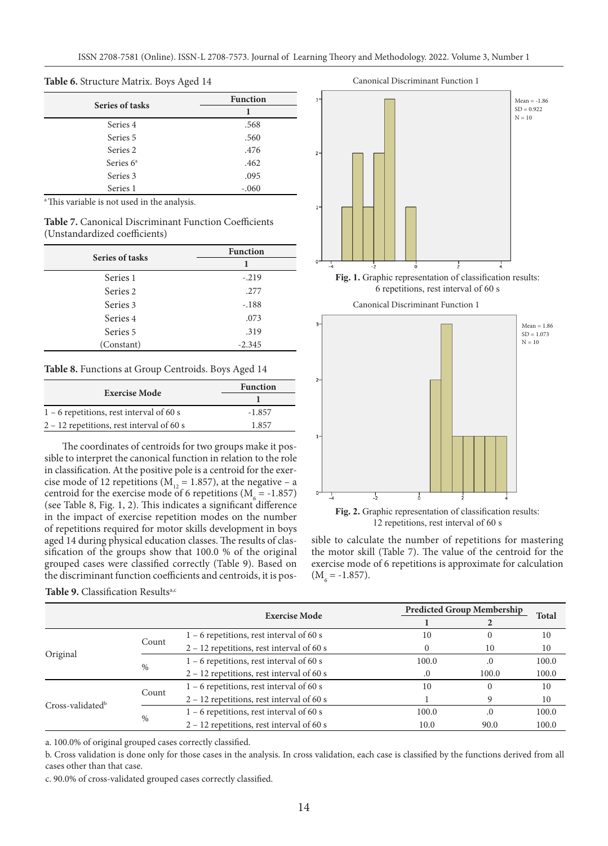#### **Table 6.** Structure Matrix. Boys Aged 14

| Series of tasks | <b>Function</b> |  |  |
|-----------------|-----------------|--|--|
|                 |                 |  |  |
| Series 4        | .568            |  |  |
| Series 5        | .560            |  |  |
| Series 2        | .476            |  |  |
| Series $6a$     | .462            |  |  |
| Series 3        | .095            |  |  |
| Series 1        | $-.060$         |  |  |

<sup>a</sup> This variable is not used in the analysis.

**Table 7.** Canonical Discriminant Function Coefficients (Unstandardized coefficients)

| Series of tasks | <b>Function</b> |  |  |
|-----------------|-----------------|--|--|
|                 |                 |  |  |
| Series 1        | $-.219$         |  |  |
| Series 2        | .277            |  |  |
| Series 3        | $-.188$         |  |  |
| Series 4        | .073            |  |  |
| Series 5        | .319            |  |  |
| (Constant)      | $-2.345$        |  |  |

#### **Table 8.** Functions at Group Centroids. Boys Aged 14

| <b>Exercise Mode</b>                        | <b>Function</b> |  |  |
|---------------------------------------------|-----------------|--|--|
|                                             |                 |  |  |
| $1 - 6$ repetitions, rest interval of 60 s  | $-1.857$        |  |  |
| $2 - 12$ repetitions, rest interval of 60 s | 1857            |  |  |

The coordinates of centroids for two groups make it possible to interpret the canonical function in relation to the role in classification. At the positive pole is a centroid for the exercise mode of 12 repetitions ( $M_{12} = 1.857$ ), at the negative – a centroid for the exercise mode of 6 repetitions ( $M_6 = -1.857$ ) (see Table 8, Fig. 1, 2). This indicates a significant difference in the impact of exercise repetition modes on the number of repetitions required for motor skills development in boys aged 14 during physical education classes. The results of classification of the groups show that 100.0 % of the original grouped cases were classified correctly (Table 9). Based on the discriminant function coefficients and centroids, it is pos-



12 repetitions, rest interval of 60 s

sible to calculate the number of repetitions for mastering the motor skill (Table 7). The value of the centroid for the exercise mode of 6 repetitions is approximate for calculation  $(M<sub>6</sub> = -1.857).$ 

|                              |       |                                             |       | <b>Predicted Group Membership</b> | <b>Total</b> |
|------------------------------|-------|---------------------------------------------|-------|-----------------------------------|--------------|
|                              |       | <b>Exercise Mode</b>                        |       |                                   |              |
| Original                     | Count | $1 - 6$ repetitions, rest interval of 60 s  | 10    | $\theta$                          | 10           |
|                              |       | $2 - 12$ repetitions, rest interval of 60 s |       | 10                                | 10           |
|                              | $\%$  | $1 - 6$ repetitions, rest interval of 60 s  | 100.0 | .0                                | 100.0        |
|                              |       | $2 - 12$ repetitions, rest interval of 60 s |       | 100.0                             | 100.0        |
| Cross-validated <sup>b</sup> |       | $1 - 6$ repetitions, rest interval of 60 s  | 10    | 0                                 | 10           |
|                              | Count | $2 - 12$ repetitions, rest interval of 60 s |       | 9                                 | 10           |
|                              |       | $1 - 6$ repetitions, rest interval of 60 s  | 100.0 | .0                                | 100.0        |
|                              | $\%$  | $2 - 12$ repetitions, rest interval of 60 s | 10.0  | 90.0                              | 100.0        |

Table 9. Classification Results<sup>a,c</sup>

a. 100.0% of original grouped cases correctly classified.

b. Cross validation is done only for those cases in the analysis. In cross validation, each case is classified by the functions derived from all cases other than that case.

c. 90.0% of cross-validated grouped cases correctly classified.

#### Canonical Discriminant Function 1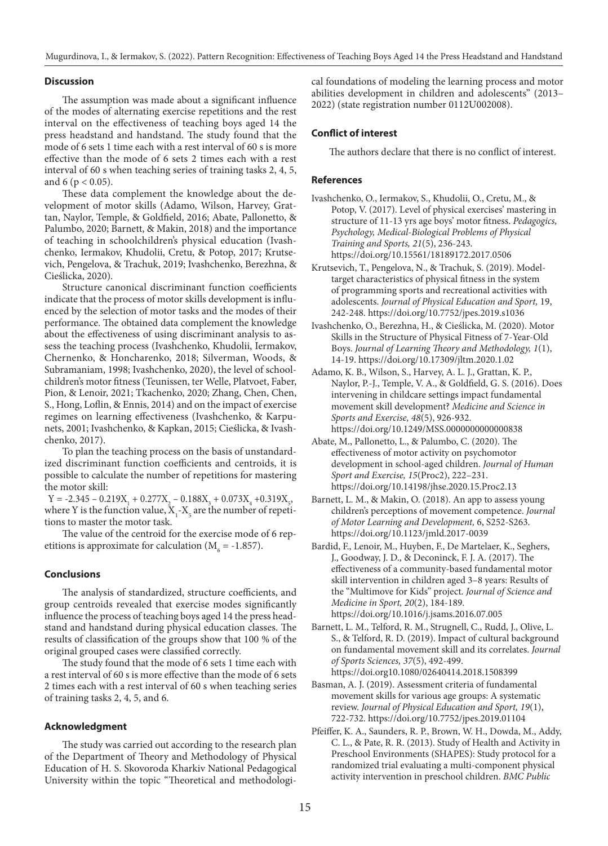Mugurdinova, I., & Iermakov, S. (2022). Pattern Recognition: Effectiveness of Teaching Boys Aged 14 the Press Headstand and Handstand

### **Discussion**

The assumption was made about a significant influence of the modes of alternating exercise repetitions and the rest interval on the effectiveness of teaching boys aged 14 the press headstand and handstand. The study found that the mode of 6 sets 1 time each with a rest interval of 60 s is more effective than the mode of 6 sets 2 times each with a rest interval of 60 s when teaching series of training tasks 2, 4, 5, and 6 ( $p < 0.05$ ).

These data complement the knowledge about the development of motor skills (Adamo, Wilson, Harvey, Grattan, Naylor, Temple, & Goldfield, 2016; Abate, Pallonetto, & Palumbo, 2020; Barnett, & Makin, 2018) and the importance of teaching in schoolchildren's physical education (Ivashchenko, Iermakov, Khudolii, Cretu, & Potop, 2017; Krutsevich, Pengelova, & Trachuk, 2019; Ivashchenko, Berezhna, & Cieślicka, 2020).

Structure canonical discriminant function coefficients indicate that the process of motor skills development is influenced by the selection of motor tasks and the modes of their performance. The obtained data complement the knowledge about the effectiveness of using discriminant analysis to assess the teaching process (Ivashchenko, Khudolii, Iermakov, Chernenko, & Honcharenko, 2018; Silverman, Woods, & Subramaniam, 1998; Ivashchenko, 2020), the level of schoolchildren's motor fitness (Teunissen, ter Welle, Platvoet, Faber, Pion, & Lenoir, 2021; Tkachenko, 2020; Zhang, Chen, Chen, S., Hong, Loflin, & Ennis, 2014) and on the impact of exercise regimes on learning effectiveness (Ivashchenko, & Karpunets, 2001; Ivashchenko, & Kapkan, 2015; Cieślicka, & Ivashchenko, 2017).

To plan the teaching process on the basis of unstandardized discriminant function coefficients and centroids, it is possible to calculate the number of repetitions for mastering the motor skill:

 $Y = -2.345 - 0.219X_1 + 0.277X_2 - 0.188X_3 + 0.073X_4 + 0.319X_5$ where Y is the function value,  $X_1$ - $X_5$  are the number of repetitions to master the motor task.

The value of the centroid for the exercise mode of 6 repetitions is approximate for calculation ( $M<sub>6</sub>$  = -1.857).

### **Conclusions**

The analysis of standardized, structure coefficients, and group centroids revealed that exercise modes significantly influence the process of teaching boys aged 14 the press headstand and handstand during physical education classes. The results of classification of the groups show that 100 % of the original grouped cases were classified correctly.

The study found that the mode of 6 sets 1 time each with a rest interval of 60 s is more effective than the mode of 6 sets 2 times each with a rest interval of 60 s when teaching series of training tasks 2, 4, 5, and 6.

#### **Acknowledgment**

The study was carried out according to the research plan of the Department of Theory and Methodology of Physical Education of H. S. Skovoroda Kharkiv National Pedagogical University within the topic "Theoretical and methodological foundations of modeling the learning process and motor abilities development in children and adolescents" (2013– 2022) (state registration number 0112U002008).

#### **Conflict of interest**

The authors declare that there is no conflict of interest.

#### **References**

- Ivashchenko, O., Iermakov, S., Khudolii, O., Cretu, M., & Potop, V. (2017). Level of physical exercises' mastering in structure of 11-13 yrs age boys' motor fitness. *Pedagogics, Psychology, Medical-Biological Problems of Physical Training and Sports, 21*(5), 236-243. https://doi.org/10.15561/18189172.2017.0506
- Krutsevich, T., Pengelova, N., & Trachuk, S. (2019). Modeltarget characteristics of physical fitness in the system of programming sports and recreational activities with adolescents. *Journal of Physical Education and Sport,* 19, 242-248. https://doi.org/10.7752/jpes.2019.s1036
- Ivashchenko, O., Berezhna, H., & Cieślicka, M. (2020). Motor Skills in the Structure of Physical Fitness of 7-Year-Old Boys. *Journal of Learning Theory and Methodology, 1*(1), 14-19. https://doi.org/10.17309/jltm.2020.1.02
- Adamo, K. B., Wilson, S., Harvey, A. L. J., Grattan, K. P., Naylor, P.-J., Temple, V. A., & Goldfield, G. S. (2016). Does intervening in childcare settings impact fundamental movement skill development? *Medicine and Science in Sports and Exercise, 48*(5), 926-932. https://doi.org/10.1249/MSS.0000000000000838
- Abate, M., Pallonetto, L., & Palumbo, C. (2020). The effectiveness of motor activity on psychomotor development in school-aged children. *Journal of Human Sport and Exercise, 15*(Proc2), 222–231. https://doi.org/10.14198/jhse.2020.15.Proc2.13
- Barnett, L. M., & Makin, O. (2018). An app to assess young children's perceptions of movement competence. *Journal of Motor Learning and Development,* 6, S252-S263. https://doi.org/10.1123/jmld.2017-0039
- Bardid, F., Lenoir, M., Huyben, F., De Martelaer, K., Seghers, J., Goodway, J. D., & Deconinck, F. J. A. (2017). The effectiveness of a community-based fundamental motor skill intervention in children aged 3–8 years: Results of the "Multimove for Kids" project. *Journal of Science and Medicine in Sport, 20*(2), 184-189. https://doi.org/10.1016/j.jsams.2016.07.005
- Barnett, L. M., Telford, R. M., Strugnell, C., Rudd, J., Olive, L. S., & Telford, R. D. (2019). Impact of cultural background on fundamental movement skill and its correlates. *Journal of Sports Sciences, 37*(5), 492-499. https://doi.org10.1080/02640414.2018.1508399
- Basman, A. J. (2019). Assessment criteria of fundamental movement skills for various age groups: A systematic review. *Journal of Physical Education and Sport, 19*(1), 722-732. https://doi.org/10.7752/jpes.2019.01104
- Pfeiffer, K. A., Saunders, R. P., Brown, W. H., Dowda, M., Addy, C. L., & Pate, R. R. (2013). Study of Health and Activity in Preschool Environments (SHAPES): Study protocol for a randomized trial evaluating a multi-component physical activity intervention in preschool children. *BMC Public*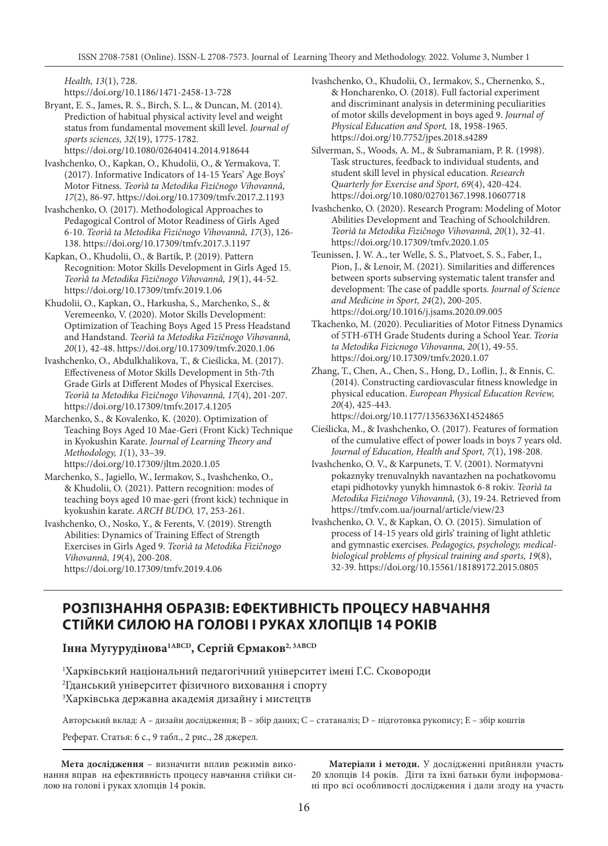*Health, 13*(1), 728.

https://doi.org/10.1186/1471-2458-13-728

- Bryant, E. S., James, R. S., Birch, S. L., & Duncan, M. (2014). Prediction of habitual physical activity level and weight status from fundamental movement skill level. *Journal of sports sciences, 32*(19), 1775-1782. https://doi.org/10.1080/02640414.2014.918644
- Ivashchenko, O., Kapkan, O., Khudolii, O., & Yermakova, T. (2017). Informative Indicators of 14-15 Years' Age Boys' Motor Fitness. *Teorìâ ta Metodika Fìzičnogo Vihovannâ, 17*(2), 86-97. https://doi.org/10.17309/tmfv.2017.2.1193
- Ivashchenko, O. (2017). Methodological Approaches to Pedagogical Control of Motor Readiness of Girls Aged 6-10. *Teorìâ ta Metodika Fìzičnogo Vihovannâ, 17*(3), 126- 138. https://doi.org/10.17309/tmfv.2017.3.1197
- Kapkan, O., Khudolii, O., & Bartik, P. (2019). Pattern Recognition: Motor Skills Development in Girls Aged 15. *Teorìâ ta Metodika Fìzičnogo Vihovannâ, 19*(1), 44-52. https://doi.org/10.17309/tmfv.2019.1.06
- Khudolii, O., Kapkan, O., Harkusha, S., Marchenko, S., & Veremeenko, V. (2020). Motor Skills Development: Optimization of Teaching Boys Aged 15 Press Headstand and Handstand. *Teorìâ ta Metodika Fìzičnogo Vihovannâ, 20*(1), 42-48. https://doi.org/10.17309/tmfv.2020.1.06
- Ivashchenko, O., Abdulkhalikova, T., & Cieślicka, M. (2017). Effectiveness of Motor Skills Development in 5th-7th Grade Girls at Different Modes of Physical Exercises. *Teorìâ ta Metodika Fìzičnogo Vihovannâ, 17*(4), 201-207. https://doi.org/10.17309/tmfv.2017.4.1205
- Marchenko, S., & Kovalenko, K. (2020). Optimization of Teaching Boys Aged 10 Mae-Geri (Front Kick) Technique in Kyokushin Karate. *Journal of Learning Theory and Methodology, 1*(1), 33–39.

https://doi.org/10.17309/jltm.2020.1.05

- Marchenko, S., Jagiello, W., Iermakov, S., Ivashchenko, O., & Khudolii, O. (2021). Pattern recognition: modes of teaching boys aged 10 mae-geri (front kick) technique in kyokushin karate. *ARCH BUDO,* 17, 253-261.
- Ivashchenko, O., Nosko, Y., & Ferents, V. (2019). Strength Abilities: Dynamics of Training Effect of Strength Exercises in Girls Aged 9. *Teorìâ ta Metodika Fìzičnogo Vihovannâ, 19*(4), 200-208. https://doi.org/10.17309/tmfv.2019.4.06
- Ivashchenko, O., Khudolii, O., Iermakov, S., Chernenko, S., & Honcharenko, O. (2018). Full factorial experiment and discriminant analysis in determining peculiarities of motor skills development in boys aged 9. *Journal of Physical Education and Sport,* 18, 1958-1965. https://doi.org/10.7752/jpes.2018.s4289
- Silverman, S., Woods, A. M., & Subramaniam, P. R. (1998). Task structures, feedback to individual students, and student skill level in physical education. *Research Quarterly for Exercise and Sport, 69*(4), 420-424. https://doi.org/10.1080/02701367.1998.10607718
- Ivashchenko, O. (2020). Research Program: Modeling of Motor Abilities Development and Teaching of Schoolchildren. *Teorìâ ta Metodika Fìzičnogo Vihovannâ, 20*(1), 32-41. https://doi.org/10.17309/tmfv.2020.1.05
- Teunissen, J. W. A., ter Welle, S. S., Platvoet, S. S., Faber, I., Pion, J., & Lenoir, M. (2021). Similarities and differences between sports subserving systematic talent transfer and development: The case of paddle sports. *Journal of Science and Medicine in Sport, 24*(2), 200-205. https://doi.org/10.1016/j.jsams.2020.09.005
- Tkachenko, M. (2020). Peculiarities of Motor Fitness Dynamics of 5TH-6TH Grade Students during a School Year. *Teoria ta Metodika Fizicnogo Vihovanna, 20*(1), 49-55. https://doi.org/10.17309/tmfv.2020.1.07
- Zhang, T., Chen, A., Chen, S., Hong, D., Loflin, J., & Ennis, C. (2014). Constructing cardiovascular fitness knowledge in physical education. *European Physical Education Review, 20*(4), 425-443. https://doi.org/10.1177/1356336X14524865
- Cieślicka, M., & Ivashchenko, O. (2017). Features of formation of the cumulative effect of power loads in boys 7 years old. *Journal of Education, Health and Sport, 7*(1), 198-208.
- Ivashchenko, O. V., & Karpunets, T. V. (2001). Normatyvni pokaznyky trenuvalnykh navantazhen na pochatkovomu etapi pidhotovky yunykh himnastok 6-8 rokiv. *Teorìâ ta Metodika Fìzičnogo Vihovannâ,* (3), 19-24. Retrieved from https://tmfv.com.ua/journal/article/view/23
- Ivashchenko, O. V., & Kapkan, O. O. (2015). Simulation of process of 14-15 years old girls' training of light athletic and gymnastic exercises. *Pedagogics, psychology, medicalbiological problems of physical training and sports, 19*(8), 32-39. https://doi.org/10.15561/18189172.2015.0805

# **РОЗПІЗНАННЯ ОБРАЗІВ: ЕФЕКТИВНІСТЬ ПРОЦЕСУ НАВЧАННЯ СТІЙКИ СИЛОЮ НА ГОЛОВІ І РУКАХ ХЛОПЦІВ 14 РОКІВ**

**Інна Мугурудінова1ABCD, Сергій Єрмаков2, 3ABCD**

1 Харківський національний педагогічний університет імені Г.С. Сковороди 2 Гданський університет фізичного виховання і спорту  $\rm{^{3}X}$ арківська державна академія дизайну і мистецтв

Авторський вклад: A – дизайн дослідження; B – збір даних; C – статаналіз; D – підготовка рукопису; E – збір коштів

Реферат. Статья: 6 с., 9 табл., 2 рис., 28 джерел.

**Мета дослідження** – визначити вплив режимів виконання вправ на ефективність процесу навчання стійки силою на голові і руках хлопців 14 років.

**Матеріали і методи.** У дослідженні прийняли участь 20 хлопців 14 років. Діти та їхні батьки були інформовані про всі особливості дослідження і дали згоду на участь